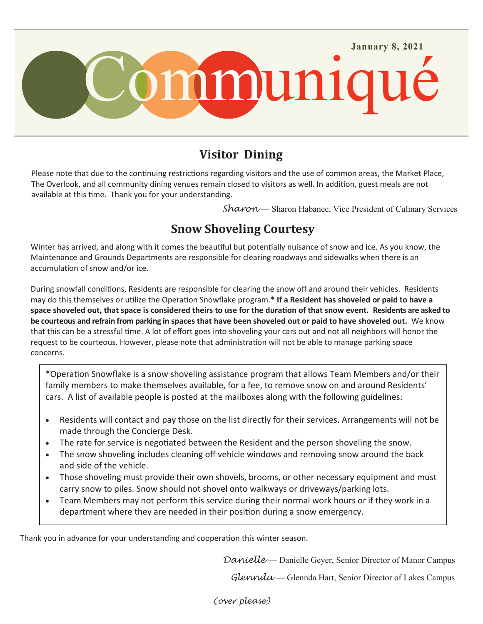

## **Visitor Dining**

Please note that due to the continuing restrictions regarding visitors and the use of common areas, the Market Place, The Overlook, and all community dining venues remain closed to visitors as well. In addition, guest meals are not available at this time. Thank you for your understanding.

*Sharon* — Sharon Habanec, Vice President of Culinary Services

## **Snow Shoveling Courtesy**

Winter has arrived, and along with it comes the beautiful but potentially nuisance of snow and ice. As you know, the Maintenance and Grounds Departments are responsible for clearing roadways and sidewalks when there is an accumulation of snow and/or ice.

During snowfall conditions, Residents are responsible for clearing the snow off and around their vehicles. Residents may do this themselves or utilize the Operation Snowflake program.\* **If a Resident has shoveled or paid to have a space shoveled out, that space is considered theirs to use for the duration of that snow event. Residents are asked to be courteous and refrain from parking in spaces that have been shoveled out or paid to have shoveled out.** We know that this can be a stressful time. A lot of effort goes into shoveling your cars out and not all neighbors will honor the request to be courteous. However, please note that administration will not be able to manage parking space concerns.

\*Operation Snowflake is a snow shoveling assistance program that allows Team Members and/or their family members to make themselves available, for a fee, to remove snow on and around Residents' cars. A list of available people is posted at the mailboxes along with the following guidelines:

- Residents will contact and pay those on the list directly for their services. Arrangements will not be made through the Concierge Desk.
- The rate for service is negotiated between the Resident and the person shoveling the snow.
- The snow shoveling includes cleaning off vehicle windows and removing snow around the back and side of the vehicle.
- Those shoveling must provide their own shovels, brooms, or other necessary equipment and must carry snow to piles. Snow should not shovel onto walkways or driveways/parking lots.
- Team Members may not perform this service during their normal work hours or if they work in a department where they are needed in their position during a snow emergency.

Thank you in advance for your understanding and cooperation this winter season.

*Danielle* — Danielle Geyer, Senior Director of Manor Campus

*Glennda* — Glennda Hart, Senior Director of Lakes Campus

*(over please)*